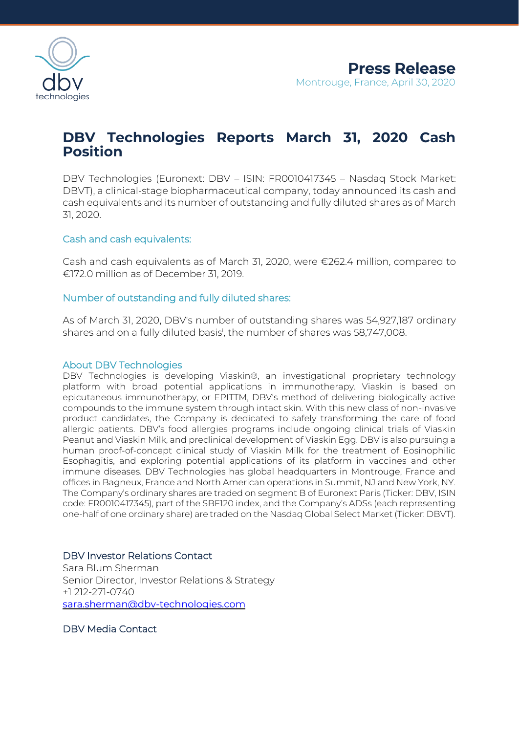

# **DBV Technologies Reports March 31, 2020 Cash Position**

DBV Technologies (Euronext: DBV – ISIN: FR0010417345 – Nasdaq Stock Market: DBVT), a clinical-stage biopharmaceutical company, today announced its cash and cash equivalents and its number of outstanding and fully diluted shares as of March 31, 2020.

## Cash and cash equivalents:

Cash and cash equivalents as of March 31, 2020, were €262.4 million, compared to €172.0 million as of December 31, 2019.

### Number of outstanding and fully diluted shares:

As of March 31, 2020, DBV's number of outstanding shares was 54,927,187 ordinary shares and on a fully diluted basis<sup>i</sup> , the number of shares was 58,747,008.

#### About DBV Technologies

DBV Technologies is developing Viaskin®, an investigational proprietary technology platform with broad potential applications in immunotherapy. Viaskin is based on epicutaneous immunotherapy, or EPITTM, DBV's method of delivering biologically active compounds to the immune system through intact skin. With this new class of non-invasive product candidates, the Company is dedicated to safely transforming the care of food allergic patients. DBV's food allergies programs include ongoing clinical trials of Viaskin Peanut and Viaskin Milk, and preclinical development of Viaskin Egg. DBV is also pursuing a human proof-of-concept clinical study of Viaskin Milk for the treatment of Eosinophilic Esophagitis, and exploring potential applications of its platform in vaccines and other immune diseases. DBV Technologies has global headquarters in Montrouge, France and offices in Bagneux, France and North American operations in Summit, NJ and New York, NY. The Company's ordinary shares are traded on segment B of Euronext Paris (Ticker: DBV, ISIN code: FR0010417345), part of the SBF120 index, and the Company's ADSs (each representing one-half of one ordinary share) are traded on the Nasdaq Global Select Market (Ticker: DBVT).

### DBV Investor Relations Contact

Sara Blum Sherman Senior Director, Investor Relations & Strategy +1 212-271-0740 [sara.sherman@dbv-technologies.com](mailto:sara.sherman@dbv-technologies.com)

DBV Media Contact